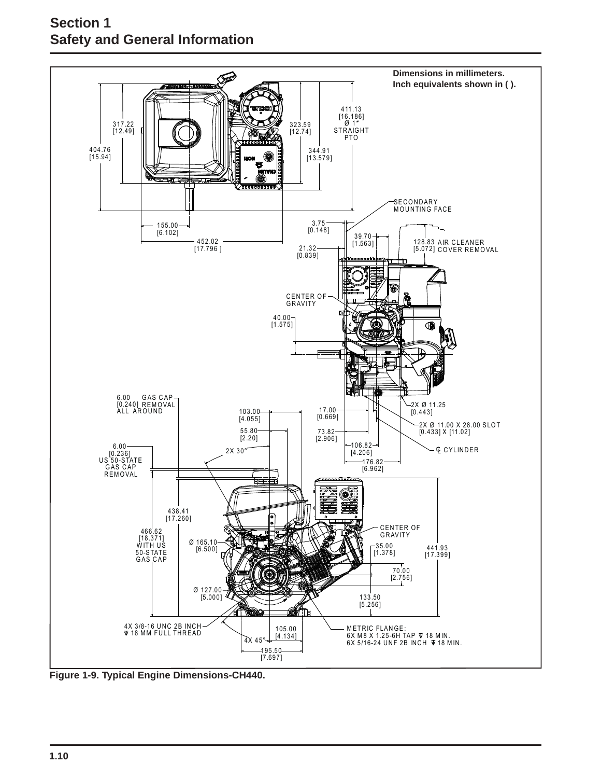

**Figure 1-9. Typical Engine Dimensions-CH440.**